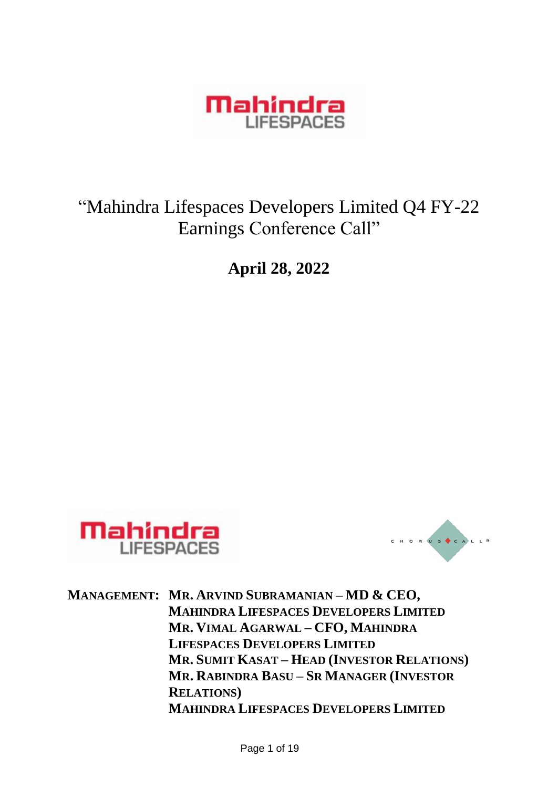

# "Mahindra Lifespaces Developers Limited Q4 FY-22 Earnings Conference Call"

**April 28, 2022**





**MANAGEMENT: MR. ARVIND SUBRAMANIAN – MD & CEO, MAHINDRA LIFESPACES DEVELOPERS LIMITED MR. VIMAL AGARWAL – CFO, MAHINDRA LIFESPACES DEVELOPERS LIMITED MR. SUMIT KASAT – HEAD (INVESTOR RELATIONS) MR. RABINDRA BASU – SR MANAGER (INVESTOR RELATIONS) MAHINDRA LIFESPACES DEVELOPERS LIMITED**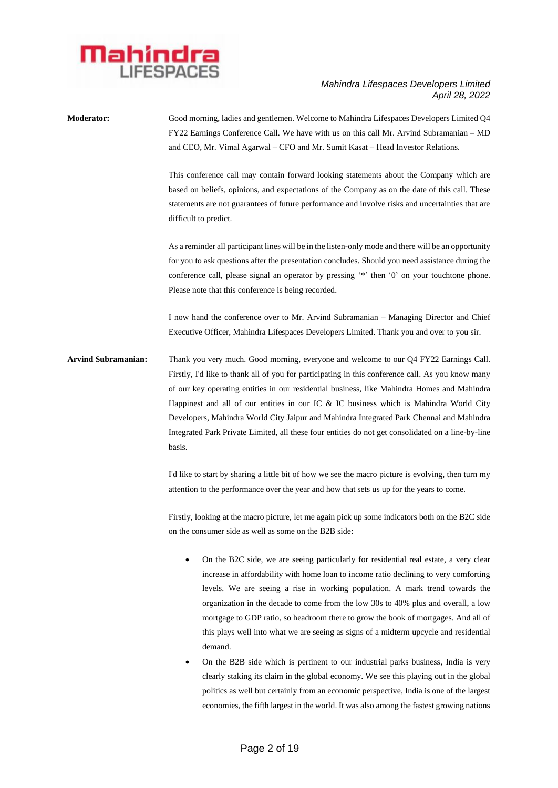

**Moderator:** Good morning, ladies and gentlemen. Welcome to Mahindra Lifespaces Developers Limited Q4 FY22 Earnings Conference Call. We have with us on this call Mr. Arvind Subramanian – MD and CEO, Mr. Vimal Agarwal – CFO and Mr. Sumit Kasat – Head Investor Relations. This conference call may contain forward looking statements about the Company which are based on beliefs, opinions, and expectations of the Company as on the date of this call. These statements are not guarantees of future performance and involve risks and uncertainties that are difficult to predict. As a reminder all participant lines will be in the listen-only mode and there will be an opportunity for you to ask questions after the presentation concludes. Should you need assistance during the conference call, please signal an operator by pressing '\*' then '0' on your touchtone phone. Please note that this conference is being recorded. I now hand the conference over to Mr. Arvind Subramanian – Managing Director and Chief Executive Officer, Mahindra Lifespaces Developers Limited. Thank you and over to you sir. **Arvind Subramanian:** Thank you very much. Good morning, everyone and welcome to our Q4 FY22 Earnings Call. Firstly, I'd like to thank all of you for participating in this conference call. As you know many of our key operating entities in our residential business, like Mahindra Homes and Mahindra Happinest and all of our entities in our IC & IC business which is Mahindra World City Developers, Mahindra World City Jaipur and Mahindra Integrated Park Chennai and Mahindra Integrated Park Private Limited, all these four entities do not get consolidated on a line-by-line basis. I'd like to start by sharing a little bit of how we see the macro picture is evolving, then turn my

> Firstly, looking at the macro picture, let me again pick up some indicators both on the B2C side on the consumer side as well as some on the B2B side:

attention to the performance over the year and how that sets us up for the years to come.

- On the B2C side, we are seeing particularly for residential real estate, a very clear increase in affordability with home loan to income ratio declining to very comforting levels. We are seeing a rise in working population. A mark trend towards the organization in the decade to come from the low 30s to 40% plus and overall, a low mortgage to GDP ratio, so headroom there to grow the book of mortgages. And all of this plays well into what we are seeing as signs of a midterm upcycle and residential demand.
- On the B2B side which is pertinent to our industrial parks business, India is very clearly staking its claim in the global economy. We see this playing out in the global politics as well but certainly from an economic perspective, India is one of the largest economies, the fifth largest in the world. It was also among the fastest growing nations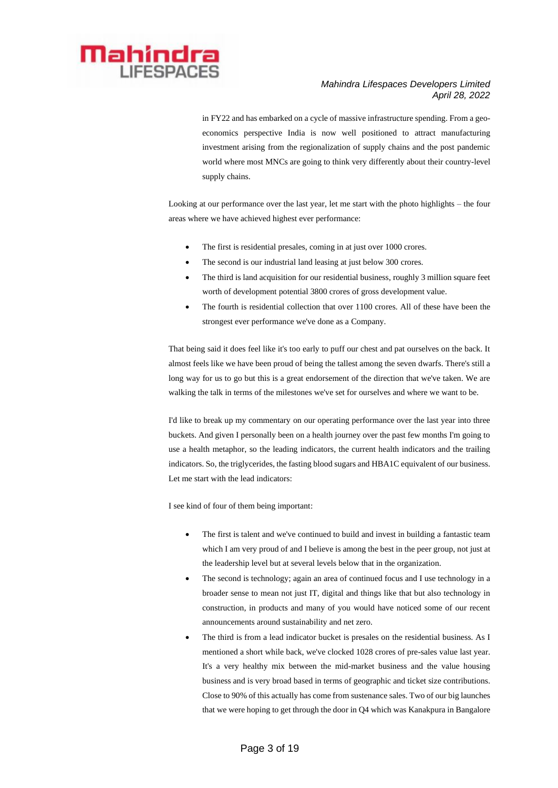

in FY22 and has embarked on a cycle of massive infrastructure spending. From a geoeconomics perspective India is now well positioned to attract manufacturing investment arising from the regionalization of supply chains and the post pandemic world where most MNCs are going to think very differently about their country-level supply chains.

Looking at our performance over the last year, let me start with the photo highlights – the four areas where we have achieved highest ever performance:

- The first is residential presales, coming in at just over 1000 crores.
- The second is our industrial land leasing at just below 300 crores.
- The third is land acquisition for our residential business, roughly 3 million square feet worth of development potential 3800 crores of gross development value.
- The fourth is residential collection that over 1100 crores. All of these have been the strongest ever performance we've done as a Company.

That being said it does feel like it's too early to puff our chest and pat ourselves on the back. It almost feels like we have been proud of being the tallest among the seven dwarfs. There's still a long way for us to go but this is a great endorsement of the direction that we've taken. We are walking the talk in terms of the milestones we've set for ourselves and where we want to be.

I'd like to break up my commentary on our operating performance over the last year into three buckets. And given I personally been on a health journey over the past few months I'm going to use a health metaphor, so the leading indicators, the current health indicators and the trailing indicators. So, the triglycerides, the fasting blood sugars and HBA1C equivalent of our business. Let me start with the lead indicators:

I see kind of four of them being important:

- The first is talent and we've continued to build and invest in building a fantastic team which I am very proud of and I believe is among the best in the peer group, not just at the leadership level but at several levels below that in the organization.
- The second is technology; again an area of continued focus and I use technology in a broader sense to mean not just IT, digital and things like that but also technology in construction, in products and many of you would have noticed some of our recent announcements around sustainability and net zero.
- The third is from a lead indicator bucket is presales on the residential business. As I mentioned a short while back, we've clocked 1028 crores of pre-sales value last year. It's a very healthy mix between the mid-market business and the value housing business and is very broad based in terms of geographic and ticket size contributions. Close to 90% of this actually has come from sustenance sales. Two of our big launches that we were hoping to get through the door in Q4 which was Kanakpura in Bangalore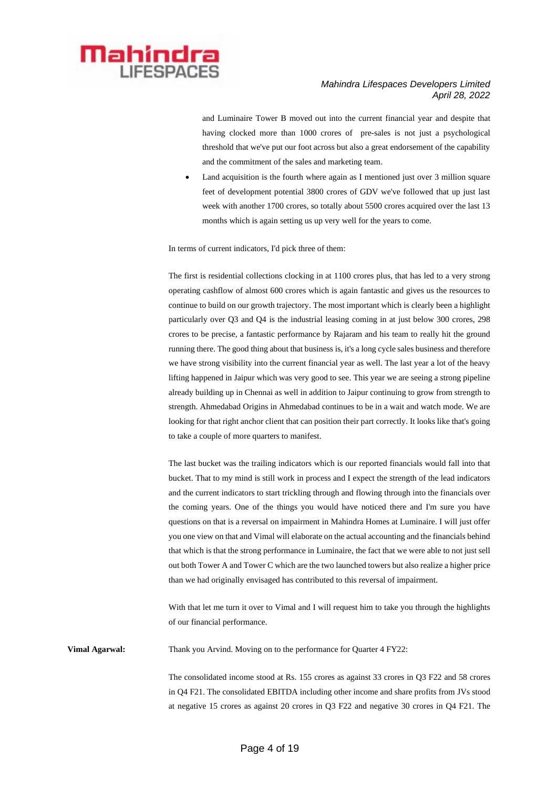

and Luminaire Tower B moved out into the current financial year and despite that having clocked more than 1000 crores of pre-sales is not just a psychological threshold that we've put our foot across but also a great endorsement of the capability and the commitment of the sales and marketing team.

Land acquisition is the fourth where again as I mentioned just over 3 million square feet of development potential 3800 crores of GDV we've followed that up just last week with another 1700 crores, so totally about 5500 crores acquired over the last 13 months which is again setting us up very well for the years to come.

In terms of current indicators, I'd pick three of them:

The first is residential collections clocking in at 1100 crores plus, that has led to a very strong operating cashflow of almost 600 crores which is again fantastic and gives us the resources to continue to build on our growth trajectory. The most important which is clearly been a highlight particularly over Q3 and Q4 is the industrial leasing coming in at just below 300 crores, 298 crores to be precise, a fantastic performance by Rajaram and his team to really hit the ground running there. The good thing about that business is, it's a long cycle sales business and therefore we have strong visibility into the current financial year as well. The last year a lot of the heavy lifting happened in Jaipur which was very good to see. This year we are seeing a strong pipeline already building up in Chennai as well in addition to Jaipur continuing to grow from strength to strength. Ahmedabad Origins in Ahmedabad continues to be in a wait and watch mode. We are looking for that right anchor client that can position their part correctly. It looks like that's going to take a couple of more quarters to manifest.

The last bucket was the trailing indicators which is our reported financials would fall into that bucket. That to my mind is still work in process and I expect the strength of the lead indicators and the current indicators to start trickling through and flowing through into the financials over the coming years. One of the things you would have noticed there and I'm sure you have questions on that is a reversal on impairment in Mahindra Homes at Luminaire. I will just offer you one view on that and Vimal will elaborate on the actual accounting and the financials behind that which is that the strong performance in Luminaire, the fact that we were able to not just sell out both Tower A and Tower C which are the two launched towers but also realize a higher price than we had originally envisaged has contributed to this reversal of impairment.

With that let me turn it over to Vimal and I will request him to take you through the highlights of our financial performance.

**Vimal Agarwal:** Thank you Arvind. Moving on to the performance for Quarter 4 FY22:

The consolidated income stood at Rs. 155 crores as against 33 crores in Q3 F22 and 58 crores in Q4 F21. The consolidated EBITDA including other income and share profits from JVs stood at negative 15 crores as against 20 crores in Q3 F22 and negative 30 crores in Q4 F21. The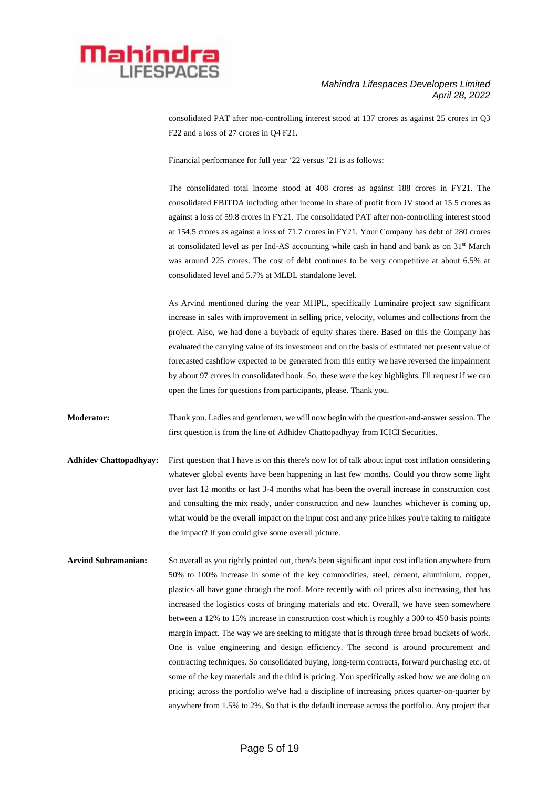

consolidated PAT after non-controlling interest stood at 137 crores as against 25 crores in Q3 F22 and a loss of 27 crores in Q4 F21.

Financial performance for full year '22 versus '21 is as follows:

The consolidated total income stood at 408 crores as against 188 crores in FY21. The consolidated EBITDA including other income in share of profit from JV stood at 15.5 crores as against a loss of 59.8 crores in FY21. The consolidated PAT after non-controlling interest stood at 154.5 crores as against a loss of 71.7 crores in FY21. Your Company has debt of 280 crores at consolidated level as per Ind-AS accounting while cash in hand and bank as on 31st March was around 225 crores. The cost of debt continues to be very competitive at about 6.5% at consolidated level and 5.7% at MLDL standalone level.

As Arvind mentioned during the year MHPL, specifically Luminaire project saw significant increase in sales with improvement in selling price, velocity, volumes and collections from the project. Also, we had done a buyback of equity shares there. Based on this the Company has evaluated the carrying value of its investment and on the basis of estimated net present value of forecasted cashflow expected to be generated from this entity we have reversed the impairment by about 97 crores in consolidated book. So, these were the key highlights. I'll request if we can open the lines for questions from participants, please. Thank you.

**Moderator:** Thank you. Ladies and gentlemen, we will now begin with the question-and-answer session. The first question is from the line of Adhidev Chattopadhyay from ICICI Securities.

- **Adhidev Chattopadhyay:** First question that I have is on this there's now lot of talk about input cost inflation considering whatever global events have been happening in last few months. Could you throw some light over last 12 months or last 3-4 months what has been the overall increase in construction cost and consulting the mix ready, under construction and new launches whichever is coming up, what would be the overall impact on the input cost and any price hikes you're taking to mitigate the impact? If you could give some overall picture.
- **Arvind Subramanian:** So overall as you rightly pointed out, there's been significant input cost inflation anywhere from 50% to 100% increase in some of the key commodities, steel, cement, aluminium, copper, plastics all have gone through the roof. More recently with oil prices also increasing, that has increased the logistics costs of bringing materials and etc. Overall, we have seen somewhere between a 12% to 15% increase in construction cost which is roughly a 300 to 450 basis points margin impact. The way we are seeking to mitigate that is through three broad buckets of work. One is value engineering and design efficiency. The second is around procurement and contracting techniques. So consolidated buying, long-term contracts, forward purchasing etc. of some of the key materials and the third is pricing. You specifically asked how we are doing on pricing; across the portfolio we've had a discipline of increasing prices quarter-on-quarter by anywhere from 1.5% to 2%. So that is the default increase across the portfolio. Any project that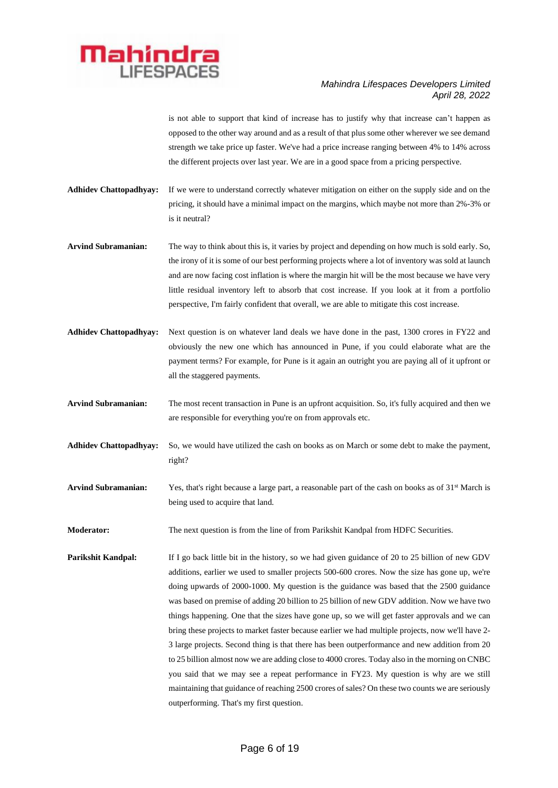

is not able to support that kind of increase has to justify why that increase can't happen as opposed to the other way around and as a result of that plus some other wherever we see demand strength we take price up faster. We've had a price increase ranging between 4% to 14% across the different projects over last year. We are in a good space from a pricing perspective.

- **Adhidev Chattopadhyay:** If we were to understand correctly whatever mitigation on either on the supply side and on the pricing, it should have a minimal impact on the margins, which maybe not more than 2%-3% or is it neutral?
- **Arvind Subramanian:** The way to think about this is, it varies by project and depending on how much is sold early. So, the irony of it is some of our best performing projects where a lot of inventory was sold at launch and are now facing cost inflation is where the margin hit will be the most because we have very little residual inventory left to absorb that cost increase. If you look at it from a portfolio perspective, I'm fairly confident that overall, we are able to mitigate this cost increase.
- **Adhidev Chattopadhyay:** Next question is on whatever land deals we have done in the past, 1300 crores in FY22 and obviously the new one which has announced in Pune, if you could elaborate what are the payment terms? For example, for Pune is it again an outright you are paying all of it upfront or all the staggered payments.
- **Arvind Subramanian:** The most recent transaction in Pune is an upfront acquisition. So, it's fully acquired and then we are responsible for everything you're on from approvals etc.
- **Adhidev Chattopadhyay:** So, we would have utilized the cash on books as on March or some debt to make the payment, right?
- Arvind Subramanian: Yes, that's right because a large part, a reasonable part of the cash on books as of 31<sup>st</sup> March is being used to acquire that land.

**Moderator:** The next question is from the line of from Parikshit Kandpal from HDFC Securities.

**Parikshit Kandpal:** If I go back little bit in the history, so we had given guidance of 20 to 25 billion of new GDV additions, earlier we used to smaller projects 500-600 crores. Now the size has gone up, we're doing upwards of 2000-1000. My question is the guidance was based that the 2500 guidance was based on premise of adding 20 billion to 25 billion of new GDV addition. Now we have two things happening. One that the sizes have gone up, so we will get faster approvals and we can bring these projects to market faster because earlier we had multiple projects, now we'll have 2- 3 large projects. Second thing is that there has been outperformance and new addition from 20 to 25 billion almost now we are adding close to 4000 crores. Today also in the morning on CNBC you said that we may see a repeat performance in FY23. My question is why are we still maintaining that guidance of reaching 2500 crores of sales? On these two counts we are seriously outperforming. That's my first question.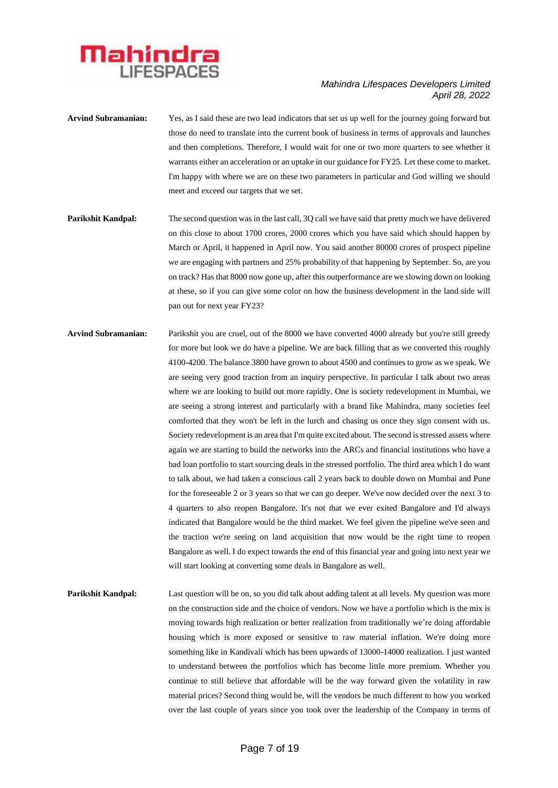

- **Arvind Subramanian:** Yes, as I said these are two lead indicators that set us up well for the journey going forward but those do need to translate into the current book of business in terms of approvals and launches and then completions. Therefore, I would wait for one or two more quarters to see whether it warrants either an acceleration or an uptake in our guidance for FY25. Let these come to market. I'm happy with where we are on these two parameters in particular and God willing we should meet and exceed our targets that we set.
- **Parikshit Kandpal:** The second question was in the last call, 3Q call we have said that pretty much we have delivered on this close to about 1700 crores, 2000 crores which you have said which should happen by March or April, it happened in April now. You said another 80000 crores of prospect pipeline we are engaging with partners and 25% probability of that happening by September. So, are you on track? Has that 8000 now gone up, after this outperformance are we slowing down on looking at these, so if you can give some color on how the business development in the land side will pan out for next year FY23?
- **Arvind Subramanian:** Parikshit you are cruel, out of the 8000 we have converted 4000 already but you're still greedy for more but look we do have a pipeline. We are back filling that as we converted this roughly 4100-4200. The balance 3800 have grown to about 4500 and continues to grow as we speak. We are seeing very good traction from an inquiry perspective. In particular I talk about two areas where we are looking to build out more rapidly. One is society redevelopment in Mumbai, we are seeing a strong interest and particularly with a brand like Mahindra, many societies feel comforted that they won't be left in the lurch and chasing us once they sign consent with us. Society redevelopment is an area that I'm quite excited about. The second is stressed assets where again we are starting to build the networks into the ARCs and financial institutions who have a bad loan portfolio to start sourcing deals in the stressed portfolio. The third area which I do want to talk about, we had taken a conscious call 2 years back to double down on Mumbai and Pune for the foreseeable 2 or 3 years so that we can go deeper. We've now decided over the next 3 to 4 quarters to also reopen Bangalore. It's not that we ever exited Bangalore and I'd always indicated that Bangalore would be the third market. We feel given the pipeline we've seen and the traction we're seeing on land acquisition that now would be the right time to reopen Bangalore as well. I do expect towards the end of this financial year and going into next year we will start looking at converting some deals in Bangalore as well.
- **Parikshit Kandpal:** Last question will be on, so you did talk about adding talent at all levels. My question was more on the construction side and the choice of vendors. Now we have a portfolio which is the mix is moving towards high realization or better realization from traditionally we're doing affordable housing which is more exposed or sensitive to raw material inflation. We're doing more something like in Kandivali which has been upwards of 13000-14000 realization. I just wanted to understand between the portfolios which has become little more premium. Whether you continue to still believe that affordable will be the way forward given the volatility in raw material prices? Second thing would be, will the vendors be much different to how you worked over the last couple of years since you took over the leadership of the Company in terms of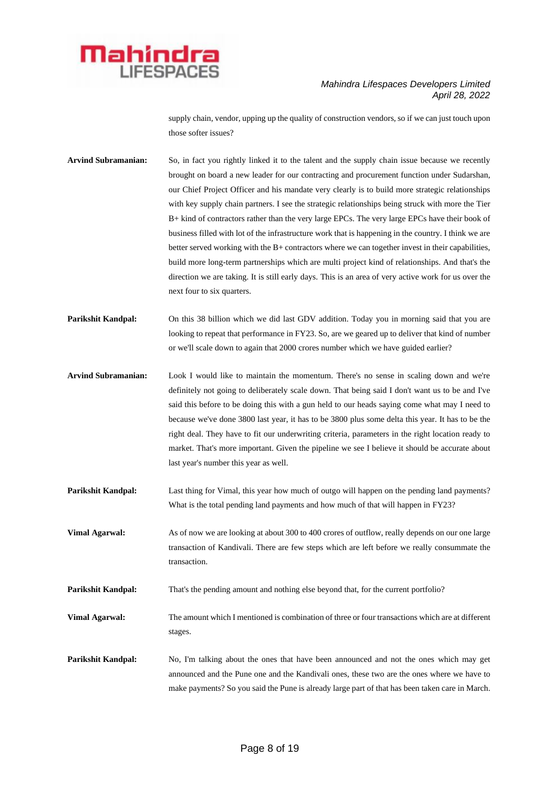

supply chain, vendor, upping up the quality of construction vendors, so if we can just touch upon those softer issues?

**Arvind Subramanian:** So, in fact you rightly linked it to the talent and the supply chain issue because we recently brought on board a new leader for our contracting and procurement function under Sudarshan, our Chief Project Officer and his mandate very clearly is to build more strategic relationships with key supply chain partners. I see the strategic relationships being struck with more the Tier B+ kind of contractors rather than the very large EPCs. The very large EPCs have their book of business filled with lot of the infrastructure work that is happening in the country. I think we are better served working with the B+ contractors where we can together invest in their capabilities, build more long-term partnerships which are multi project kind of relationships. And that's the direction we are taking. It is still early days. This is an area of very active work for us over the next four to six quarters.

**Parikshit Kandpal:** On this 38 billion which we did last GDV addition. Today you in morning said that you are looking to repeat that performance in FY23. So, are we geared up to deliver that kind of number or we'll scale down to again that 2000 crores number which we have guided earlier?

**Arvind Subramanian:** Look I would like to maintain the momentum. There's no sense in scaling down and we're definitely not going to deliberately scale down. That being said I don't want us to be and I've said this before to be doing this with a gun held to our heads saying come what may I need to because we've done 3800 last year, it has to be 3800 plus some delta this year. It has to be the right deal. They have to fit our underwriting criteria, parameters in the right location ready to market. That's more important. Given the pipeline we see I believe it should be accurate about last year's number this year as well.

**Parikshit Kandpal:** Last thing for Vimal, this year how much of outgo will happen on the pending land payments? What is the total pending land payments and how much of that will happen in FY23?

**Vimal Agarwal:** As of now we are looking at about 300 to 400 crores of outflow, really depends on our one large transaction of Kandivali. There are few steps which are left before we really consummate the transaction.

**Parikshit Kandpal:** That's the pending amount and nothing else beyond that, for the current portfolio?

**Vimal Agarwal:** The amount which I mentioned is combination of three or four transactions which are at different stages.

**Parikshit Kandpal:** No, I'm talking about the ones that have been announced and not the ones which may get announced and the Pune one and the Kandivali ones, these two are the ones where we have to make payments? So you said the Pune is already large part of that has been taken care in March.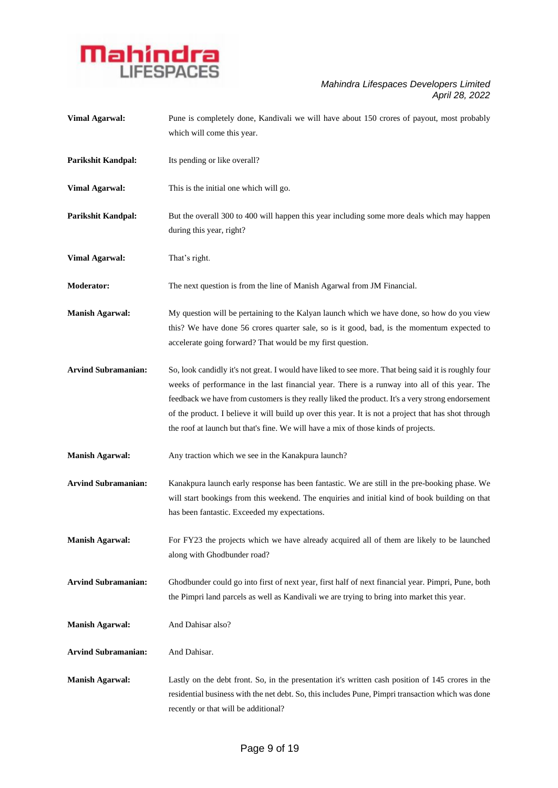

| <b>Vimal Agarwal:</b>      | Pune is completely done, Kandivali we will have about 150 crores of payout, most probably<br>which will come this year.                                                                                                                                                                                                                                                                                                                                                                                 |
|----------------------------|---------------------------------------------------------------------------------------------------------------------------------------------------------------------------------------------------------------------------------------------------------------------------------------------------------------------------------------------------------------------------------------------------------------------------------------------------------------------------------------------------------|
| Parikshit Kandpal:         | Its pending or like overall?                                                                                                                                                                                                                                                                                                                                                                                                                                                                            |
| <b>Vimal Agarwal:</b>      | This is the initial one which will go.                                                                                                                                                                                                                                                                                                                                                                                                                                                                  |
| Parikshit Kandpal:         | But the overall 300 to 400 will happen this year including some more deals which may happen<br>during this year, right?                                                                                                                                                                                                                                                                                                                                                                                 |
| <b>Vimal Agarwal:</b>      | That's right.                                                                                                                                                                                                                                                                                                                                                                                                                                                                                           |
| <b>Moderator:</b>          | The next question is from the line of Manish Agarwal from JM Financial.                                                                                                                                                                                                                                                                                                                                                                                                                                 |
| <b>Manish Agarwal:</b>     | My question will be pertaining to the Kalyan launch which we have done, so how do you view<br>this? We have done 56 crores quarter sale, so is it good, bad, is the momentum expected to<br>accelerate going forward? That would be my first question.                                                                                                                                                                                                                                                  |
| <b>Arvind Subramanian:</b> | So, look candidly it's not great. I would have liked to see more. That being said it is roughly four<br>weeks of performance in the last financial year. There is a runway into all of this year. The<br>feedback we have from customers is they really liked the product. It's a very strong endorsement<br>of the product. I believe it will build up over this year. It is not a project that has shot through<br>the roof at launch but that's fine. We will have a mix of those kinds of projects. |
| <b>Manish Agarwal:</b>     | Any traction which we see in the Kanakpura launch?                                                                                                                                                                                                                                                                                                                                                                                                                                                      |
| <b>Arvind Subramanian:</b> | Kanakpura launch early response has been fantastic. We are still in the pre-booking phase. We<br>will start bookings from this weekend. The enquiries and initial kind of book building on that<br>has been fantastic. Exceeded my expectations.                                                                                                                                                                                                                                                        |
| <b>Manish Agarwal:</b>     | For FY23 the projects which we have already acquired all of them are likely to be launched<br>along with Ghodbunder road?                                                                                                                                                                                                                                                                                                                                                                               |
| <b>Arvind Subramanian:</b> | Ghodbunder could go into first of next year, first half of next financial year. Pimpri, Pune, both<br>the Pimpri land parcels as well as Kandivali we are trying to bring into market this year.                                                                                                                                                                                                                                                                                                        |
| <b>Manish Agarwal:</b>     | And Dahisar also?                                                                                                                                                                                                                                                                                                                                                                                                                                                                                       |
| <b>Arvind Subramanian:</b> | And Dahisar.                                                                                                                                                                                                                                                                                                                                                                                                                                                                                            |
| <b>Manish Agarwal:</b>     | Lastly on the debt front. So, in the presentation it's written cash position of 145 crores in the<br>residential business with the net debt. So, this includes Pune, Pimpri transaction which was done<br>recently or that will be additional?                                                                                                                                                                                                                                                          |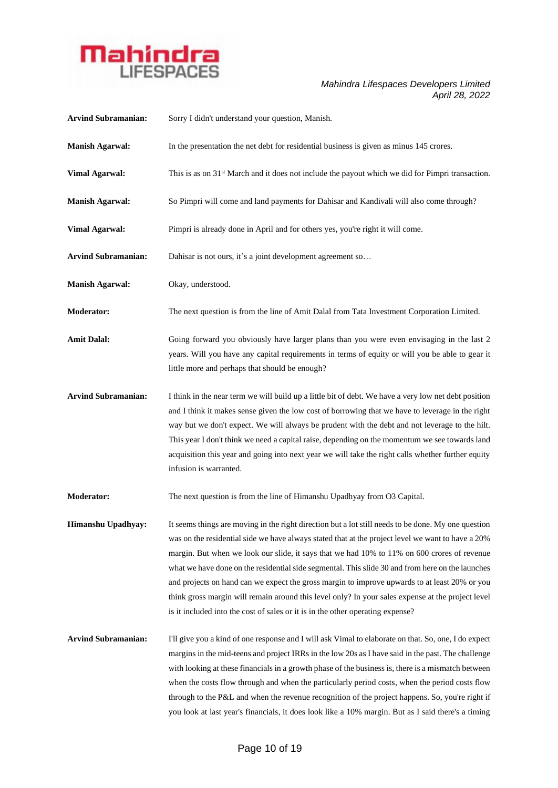

| <b>Arvind Subramanian:</b> | Sorry I didn't understand your question, Manish.                                                                                                                                                                                                                                                                                                                                                                                                                                                                                                                                                                                                                                                    |
|----------------------------|-----------------------------------------------------------------------------------------------------------------------------------------------------------------------------------------------------------------------------------------------------------------------------------------------------------------------------------------------------------------------------------------------------------------------------------------------------------------------------------------------------------------------------------------------------------------------------------------------------------------------------------------------------------------------------------------------------|
| <b>Manish Agarwal:</b>     | In the presentation the net debt for residential business is given as minus 145 crores.                                                                                                                                                                                                                                                                                                                                                                                                                                                                                                                                                                                                             |
| <b>Vimal Agarwal:</b>      | This is as on 31 <sup>st</sup> March and it does not include the payout which we did for Pimpri transaction.                                                                                                                                                                                                                                                                                                                                                                                                                                                                                                                                                                                        |
| <b>Manish Agarwal:</b>     | So Pimpri will come and land payments for Dahisar and Kandivali will also come through?                                                                                                                                                                                                                                                                                                                                                                                                                                                                                                                                                                                                             |
| <b>Vimal Agarwal:</b>      | Pimpri is already done in April and for others yes, you're right it will come.                                                                                                                                                                                                                                                                                                                                                                                                                                                                                                                                                                                                                      |
| <b>Arvind Subramanian:</b> | Dahisar is not ours, it's a joint development agreement so                                                                                                                                                                                                                                                                                                                                                                                                                                                                                                                                                                                                                                          |
| <b>Manish Agarwal:</b>     | Okay, understood.                                                                                                                                                                                                                                                                                                                                                                                                                                                                                                                                                                                                                                                                                   |
| <b>Moderator:</b>          | The next question is from the line of Amit Dalal from Tata Investment Corporation Limited.                                                                                                                                                                                                                                                                                                                                                                                                                                                                                                                                                                                                          |
| <b>Amit Dalal:</b>         | Going forward you obviously have larger plans than you were even envisaging in the last 2<br>years. Will you have any capital requirements in terms of equity or will you be able to gear it<br>little more and perhaps that should be enough?                                                                                                                                                                                                                                                                                                                                                                                                                                                      |
| <b>Arvind Subramanian:</b> | I think in the near term we will build up a little bit of debt. We have a very low net debt position<br>and I think it makes sense given the low cost of borrowing that we have to leverage in the right<br>way but we don't expect. We will always be prudent with the debt and not leverage to the hilt.<br>This year I don't think we need a capital raise, depending on the momentum we see towards land<br>acquisition this year and going into next year we will take the right calls whether further equity<br>infusion is warranted.                                                                                                                                                        |
| <b>Moderator:</b>          | The next question is from the line of Himanshu Upadhyay from O3 Capital.                                                                                                                                                                                                                                                                                                                                                                                                                                                                                                                                                                                                                            |
| Himanshu Upadhyay:         | It seems things are moving in the right direction but a lot still needs to be done. My one question<br>was on the residential side we have always stated that at the project level we want to have a 20%<br>margin. But when we look our slide, it says that we had 10% to 11% on 600 crores of revenue<br>what we have done on the residential side segmental. This slide 30 and from here on the launches<br>and projects on hand can we expect the gross margin to improve upwards to at least 20% or you<br>think gross margin will remain around this level only? In your sales expense at the project level<br>is it included into the cost of sales or it is in the other operating expense? |
| <b>Arvind Subramanian:</b> | I'll give you a kind of one response and I will ask Vimal to elaborate on that. So, one, I do expect<br>margins in the mid-teens and project IRRs in the low 20s as I have said in the past. The challenge<br>with looking at these financials in a growth phase of the business is, there is a mismatch between<br>when the costs flow through and when the particularly period costs, when the period costs flow<br>through to the P&L and when the revenue recognition of the project happens. So, you're right if<br>you look at last year's financials, it does look like a 10% margin. But as I said there's a timing                                                                         |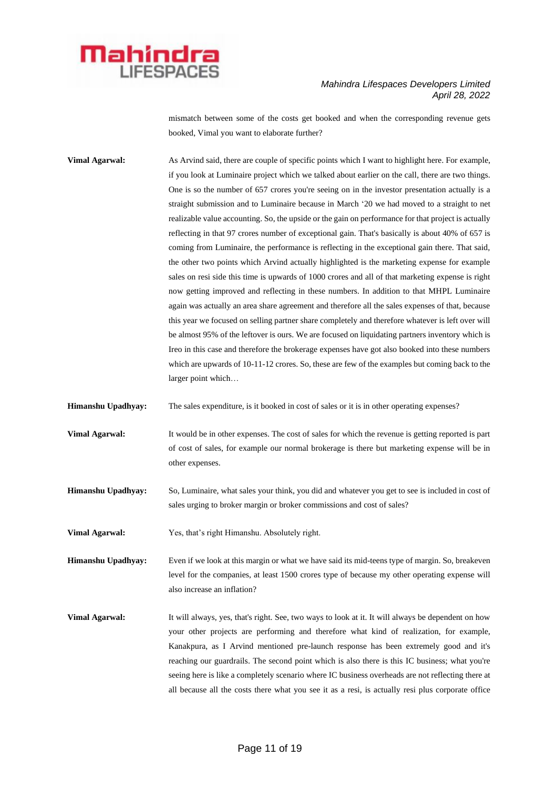

mismatch between some of the costs get booked and when the corresponding revenue gets booked, Vimal you want to elaborate further?

**Vimal Agarwal:** As Arvind said, there are couple of specific points which I want to highlight here. For example, if you look at Luminaire project which we talked about earlier on the call, there are two things. One is so the number of 657 crores you're seeing on in the investor presentation actually is a straight submission and to Luminaire because in March '20 we had moved to a straight to net realizable value accounting. So, the upside or the gain on performance for that project is actually reflecting in that 97 crores number of exceptional gain. That's basically is about 40% of 657 is coming from Luminaire, the performance is reflecting in the exceptional gain there. That said, the other two points which Arvind actually highlighted is the marketing expense for example sales on resi side this time is upwards of 1000 crores and all of that marketing expense is right now getting improved and reflecting in these numbers. In addition to that MHPL Luminaire again was actually an area share agreement and therefore all the sales expenses of that, because this year we focused on selling partner share completely and therefore whatever is left over will be almost 95% of the leftover is ours. We are focused on liquidating partners inventory which is Ireo in this case and therefore the brokerage expenses have got also booked into these numbers which are upwards of 10-11-12 crores. So, these are few of the examples but coming back to the larger point which…

**Himanshu Upadhyay:** The sales expenditure, is it booked in cost of sales or it is in other operating expenses?

**Vimal Agarwal:** It would be in other expenses. The cost of sales for which the revenue is getting reported is part of cost of sales, for example our normal brokerage is there but marketing expense will be in other expenses.

**Himanshu Upadhyay:** So, Luminaire, what sales your think, you did and whatever you get to see is included in cost of sales urging to broker margin or broker commissions and cost of sales?

**Vimal Agarwal:** Yes, that's right Himanshu. Absolutely right.

**Himanshu Upadhyay:** Even if we look at this margin or what we have said its mid-teens type of margin. So, breakeven level for the companies, at least 1500 crores type of because my other operating expense will also increase an inflation?

**Vimal Agarwal:** It will always, yes, that's right. See, two ways to look at it. It will always be dependent on how your other projects are performing and therefore what kind of realization, for example, Kanakpura, as I Arvind mentioned pre-launch response has been extremely good and it's reaching our guardrails. The second point which is also there is this IC business; what you're seeing here is like a completely scenario where IC business overheads are not reflecting there at all because all the costs there what you see it as a resi, is actually resi plus corporate office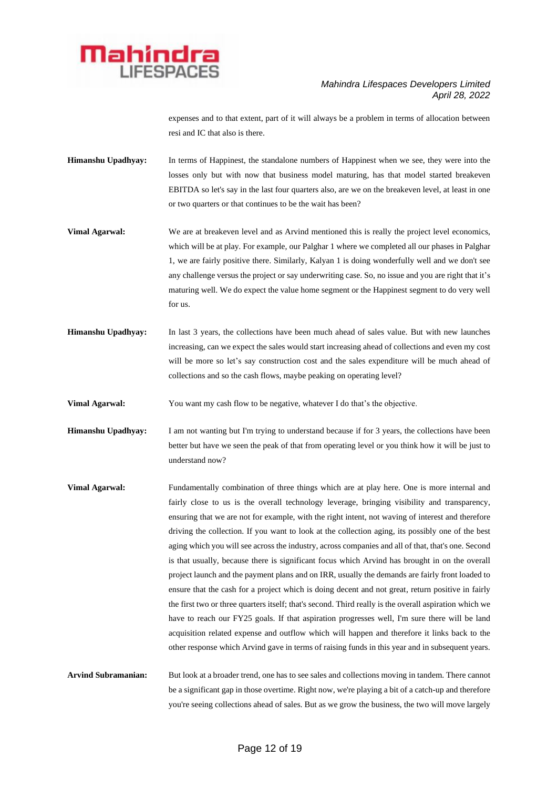

expenses and to that extent, part of it will always be a problem in terms of allocation between resi and IC that also is there.

- **Himanshu Upadhyay:** In terms of Happinest, the standalone numbers of Happinest when we see, they were into the losses only but with now that business model maturing, has that model started breakeven EBITDA so let's say in the last four quarters also, are we on the breakeven level, at least in one or two quarters or that continues to be the wait has been?
- **Vimal Agarwal:** We are at breakeven level and as Arvind mentioned this is really the project level economics, which will be at play. For example, our Palghar 1 where we completed all our phases in Palghar 1, we are fairly positive there. Similarly, Kalyan 1 is doing wonderfully well and we don't see any challenge versus the project or say underwriting case. So, no issue and you are right that it's maturing well. We do expect the value home segment or the Happinest segment to do very well for us.
- **Himanshu Upadhyay:** In last 3 years, the collections have been much ahead of sales value. But with new launches increasing, can we expect the sales would start increasing ahead of collections and even my cost will be more so let's say construction cost and the sales expenditure will be much ahead of collections and so the cash flows, maybe peaking on operating level?

**Vimal Agarwal:** You want my cash flow to be negative, whatever I do that's the objective.

**Himanshu Upadhyay:** I am not wanting but I'm trying to understand because if for 3 years, the collections have been better but have we seen the peak of that from operating level or you think how it will be just to understand now?

**Vimal Agarwal:** Fundamentally combination of three things which are at play here. One is more internal and fairly close to us is the overall technology leverage, bringing visibility and transparency, ensuring that we are not for example, with the right intent, not waving of interest and therefore driving the collection. If you want to look at the collection aging, its possibly one of the best aging which you will see across the industry, across companies and all of that, that's one. Second is that usually, because there is significant focus which Arvind has brought in on the overall project launch and the payment plans and on IRR, usually the demands are fairly front loaded to ensure that the cash for a project which is doing decent and not great, return positive in fairly the first two or three quarters itself; that's second. Third really is the overall aspiration which we have to reach our FY25 goals. If that aspiration progresses well, I'm sure there will be land acquisition related expense and outflow which will happen and therefore it links back to the other response which Arvind gave in terms of raising funds in this year and in subsequent years.

Arvind Subramanian: But look at a broader trend, one has to see sales and collections moving in tandem. There cannot be a significant gap in those overtime. Right now, we're playing a bit of a catch-up and therefore you're seeing collections ahead of sales. But as we grow the business, the two will move largely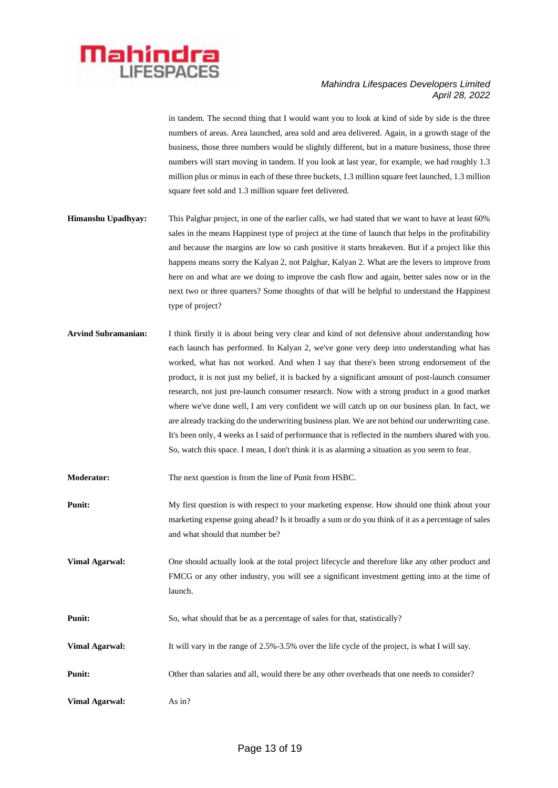

in tandem. The second thing that I would want you to look at kind of side by side is the three numbers of areas. Area launched, area sold and area delivered. Again, in a growth stage of the business, those three numbers would be slightly different, but in a mature business, those three numbers will start moving in tandem. If you look at last year, for example, we had roughly 1.3 million plus or minus in each of these three buckets, 1.3 million square feet launched, 1.3 million square feet sold and 1.3 million square feet delivered.

- **Himanshu Upadhyay:** This Palghar project, in one of the earlier calls, we had stated that we want to have at least 60% sales in the means Happinest type of project at the time of launch that helps in the profitability and because the margins are low so cash positive it starts breakeven. But if a project like this happens means sorry the Kalyan 2, not Palghar, Kalyan 2. What are the levers to improve from here on and what are we doing to improve the cash flow and again, better sales now or in the next two or three quarters? Some thoughts of that will be helpful to understand the Happinest type of project?
- **Arvind Subramanian:** I think firstly it is about being very clear and kind of not defensive about understanding how each launch has performed. In Kalyan 2, we've gone very deep into understanding what has worked, what has not worked. And when I say that there's been strong endorsement of the product, it is not just my belief, it is backed by a significant amount of post-launch consumer research, not just pre-launch consumer research. Now with a strong product in a good market where we've done well, I am very confident we will catch up on our business plan. In fact, we are already tracking do the underwriting business plan. We are not behind our underwriting case. It's been only, 4 weeks as I said of performance that is reflected in the numbers shared with you. So, watch this space. I mean, I don't think it is as alarming a situation as you seem to fear.

**Moderator:** The next question is from the line of Punit from HSBC.

- **Punit:** My first question is with respect to your marketing expense. How should one think about your marketing expense going ahead? Is it broadly a sum or do you think of it as a percentage of sales and what should that number be?
- **Vimal Agarwal:** One should actually look at the total project lifecycle and therefore like any other product and FMCG or any other industry, you will see a significant investment getting into at the time of launch.
- **Punit:** So, what should that be as a percentage of sales for that, statistically?
- **Vimal Agarwal:** It will vary in the range of 2.5%-3.5% over the life cycle of the project, is what I will say.
- **Punit:** Other than salaries and all, would there be any other overheads that one needs to consider?
- **Vimal Agarwal:** As in?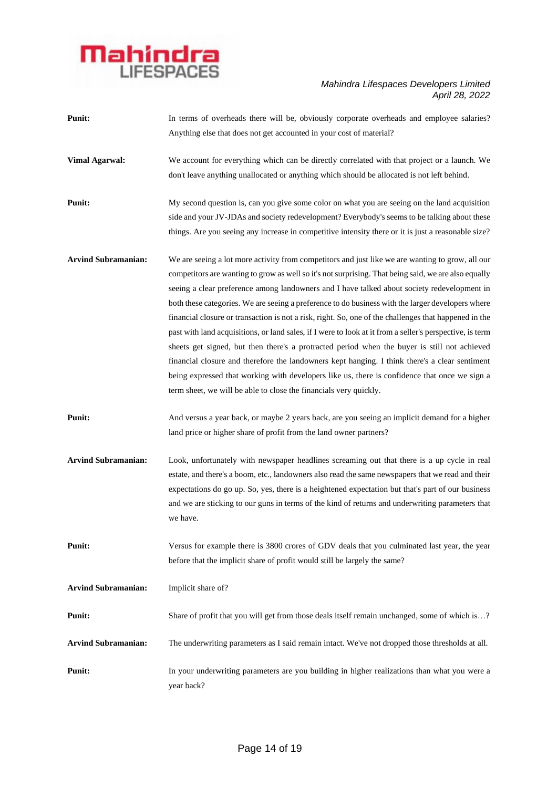

| <b>Punit:</b>              | In terms of overheads there will be, obviously corporate overheads and employee salaries?                  |
|----------------------------|------------------------------------------------------------------------------------------------------------|
|                            | Anything else that does not get accounted in your cost of material?                                        |
| <b>Vimal Agarwal:</b>      | We account for everything which can be directly correlated with that project or a launch. We               |
|                            | don't leave anything unallocated or anything which should be allocated is not left behind.                 |
| <b>Punit:</b>              | My second question is, can you give some color on what you are seeing on the land acquisition              |
|                            | side and your JV-JDAs and society redevelopment? Everybody's seems to be talking about these               |
|                            | things. Are you seeing any increase in competitive intensity there or it is just a reasonable size?        |
| <b>Arvind Subramanian:</b> | We are seeing a lot more activity from competitors and just like we are wanting to grow, all our           |
|                            | competitors are wanting to grow as well so it's not surprising. That being said, we are also equally       |
|                            | seeing a clear preference among landowners and I have talked about society redevelopment in                |
|                            | both these categories. We are seeing a preference to do business with the larger developers where          |
|                            | financial closure or transaction is not a risk, right. So, one of the challenges that happened in the      |
|                            | past with land acquisitions, or land sales, if I were to look at it from a seller's perspective, is term   |
|                            | sheets get signed, but then there's a protracted period when the buyer is still not achieved               |
|                            | financial closure and therefore the landowners kept hanging. I think there's a clear sentiment             |
|                            | being expressed that working with developers like us, there is confidence that once we sign a              |
|                            |                                                                                                            |
|                            | term sheet, we will be able to close the financials very quickly.                                          |
| <b>Punit:</b>              | And versus a year back, or maybe 2 years back, are you seeing an implicit demand for a higher              |
|                            | land price or higher share of profit from the land owner partners?                                         |
| <b>Arvind Subramanian:</b> | Look, unfortunately with newspaper headlines screaming out that there is a up cycle in real                |
|                            | estate, and there's a boom, etc., landowners also read the same newspapers that we read and their          |
|                            | expectations do go up. So, yes, there is a heightened expectation but that's part of our business          |
|                            | and we are sticking to our guns in terms of the kind of returns and underwriting parameters that           |
|                            | we have.                                                                                                   |
| <b>Punit:</b>              | Versus for example there is 3800 crores of GDV deals that you culminated last year, the year               |
|                            | before that the implicit share of profit would still be largely the same?                                  |
| <b>Arvind Subramanian:</b> | Implicit share of?                                                                                         |
| Punit:                     | Share of profit that you will get from those deals itself remain unchanged, some of which is?              |
| <b>Arvind Subramanian:</b> | The underwriting parameters as I said remain intact. We've not dropped those thresholds at all.            |
| Punit:                     | In your underwriting parameters are you building in higher realizations than what you were a<br>year back? |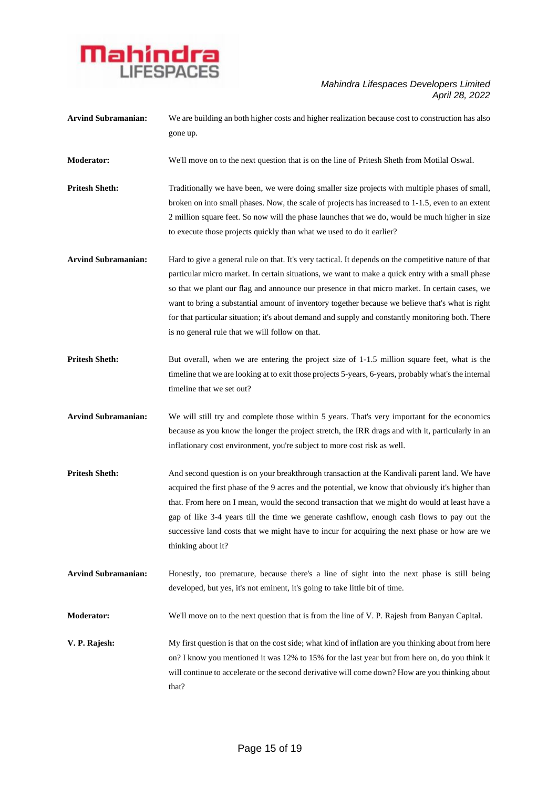

| <b>Arvind Subramanian:</b> | We are building an both higher costs and higher realization because cost to construction has also<br>gone up.                                                                                                                                                                                                                                                                                                                                                                                                                                                           |
|----------------------------|-------------------------------------------------------------------------------------------------------------------------------------------------------------------------------------------------------------------------------------------------------------------------------------------------------------------------------------------------------------------------------------------------------------------------------------------------------------------------------------------------------------------------------------------------------------------------|
| <b>Moderator:</b>          | We'll move on to the next question that is on the line of Pritesh Sheth from Motilal Oswal.                                                                                                                                                                                                                                                                                                                                                                                                                                                                             |
| <b>Pritesh Sheth:</b>      | Traditionally we have been, we were doing smaller size projects with multiple phases of small,<br>broken on into small phases. Now, the scale of projects has increased to 1-1.5, even to an extent<br>2 million square feet. So now will the phase launches that we do, would be much higher in size<br>to execute those projects quickly than what we used to do it earlier?                                                                                                                                                                                          |
| <b>Arvind Subramanian:</b> | Hard to give a general rule on that. It's very tactical. It depends on the competitive nature of that<br>particular micro market. In certain situations, we want to make a quick entry with a small phase<br>so that we plant our flag and announce our presence in that micro market. In certain cases, we<br>want to bring a substantial amount of inventory together because we believe that's what is right<br>for that particular situation; it's about demand and supply and constantly monitoring both. There<br>is no general rule that we will follow on that. |
| <b>Pritesh Sheth:</b>      | But overall, when we are entering the project size of 1-1.5 million square feet, what is the<br>timeline that we are looking at to exit those projects 5-years, 6-years, probably what's the internal<br>timeline that we set out?                                                                                                                                                                                                                                                                                                                                      |
| <b>Arvind Subramanian:</b> | We will still try and complete those within 5 years. That's very important for the economics<br>because as you know the longer the project stretch, the IRR drags and with it, particularly in an<br>inflationary cost environment, you're subject to more cost risk as well.                                                                                                                                                                                                                                                                                           |
| <b>Pritesh Sheth:</b>      | And second question is on your breakthrough transaction at the Kandivali parent land. We have<br>acquired the first phase of the 9 acres and the potential, we know that obviously it's higher than<br>that. From here on I mean, would the second transaction that we might do would at least have a<br>gap of like 3-4 years till the time we generate cashflow, enough cash flows to pay out the<br>successive land costs that we might have to incur for acquiring the next phase or how are we<br>thinking about it?                                               |
| <b>Arvind Subramanian:</b> | Honestly, too premature, because there's a line of sight into the next phase is still being<br>developed, but yes, it's not eminent, it's going to take little bit of time.                                                                                                                                                                                                                                                                                                                                                                                             |
| <b>Moderator:</b>          | We'll move on to the next question that is from the line of V. P. Rajesh from Banyan Capital.                                                                                                                                                                                                                                                                                                                                                                                                                                                                           |
| V. P. Rajesh:              | My first question is that on the cost side; what kind of inflation are you thinking about from here<br>on? I know you mentioned it was 12% to 15% for the last year but from here on, do you think it<br>will continue to accelerate or the second derivative will come down? How are you thinking about<br>that?                                                                                                                                                                                                                                                       |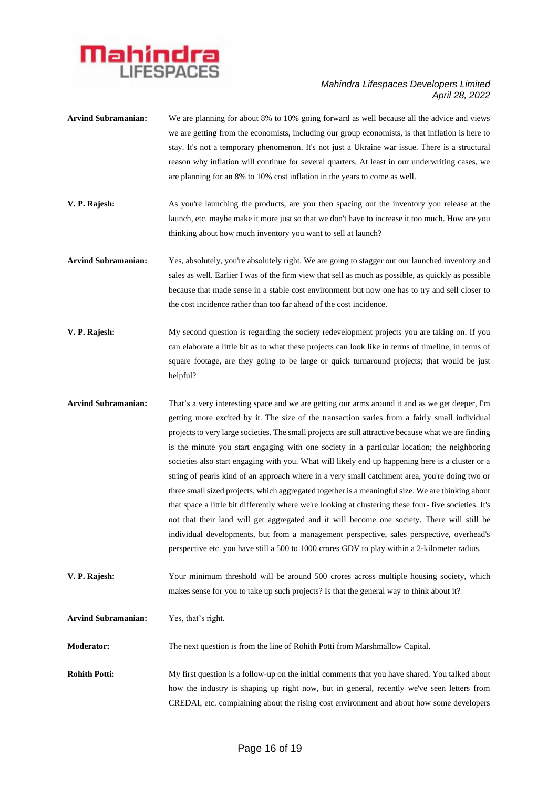

| <b>Arvind Subramanian:</b> | We are planning for about 8% to 10% going forward as well because all the advice and views<br>we are getting from the economists, including our group economists, is that inflation is here to<br>stay. It's not a temporary phenomenon. It's not just a Ukraine war issue. There is a structural<br>reason why inflation will continue for several quarters. At least in our underwriting cases, we<br>are planning for an 8% to 10% cost inflation in the years to come as well.                                                                                                                                                                                                                                                                                                                                                                                                                                                                                                                                                                                                                                        |
|----------------------------|---------------------------------------------------------------------------------------------------------------------------------------------------------------------------------------------------------------------------------------------------------------------------------------------------------------------------------------------------------------------------------------------------------------------------------------------------------------------------------------------------------------------------------------------------------------------------------------------------------------------------------------------------------------------------------------------------------------------------------------------------------------------------------------------------------------------------------------------------------------------------------------------------------------------------------------------------------------------------------------------------------------------------------------------------------------------------------------------------------------------------|
| V. P. Rajesh:              | As you're launching the products, are you then spacing out the inventory you release at the<br>launch, etc. maybe make it more just so that we don't have to increase it too much. How are you<br>thinking about how much inventory you want to sell at launch?                                                                                                                                                                                                                                                                                                                                                                                                                                                                                                                                                                                                                                                                                                                                                                                                                                                           |
| <b>Arvind Subramanian:</b> | Yes, absolutely, you're absolutely right. We are going to stagger out our launched inventory and<br>sales as well. Earlier I was of the firm view that sell as much as possible, as quickly as possible<br>because that made sense in a stable cost environment but now one has to try and sell closer to<br>the cost incidence rather than too far ahead of the cost incidence.                                                                                                                                                                                                                                                                                                                                                                                                                                                                                                                                                                                                                                                                                                                                          |
| V. P. Rajesh:              | My second question is regarding the society redevelopment projects you are taking on. If you<br>can elaborate a little bit as to what these projects can look like in terms of timeline, in terms of<br>square footage, are they going to be large or quick turnaround projects; that would be just<br>helpful?                                                                                                                                                                                                                                                                                                                                                                                                                                                                                                                                                                                                                                                                                                                                                                                                           |
| <b>Arvind Subramanian:</b> | That's a very interesting space and we are getting our arms around it and as we get deeper, I'm<br>getting more excited by it. The size of the transaction varies from a fairly small individual<br>projects to very large societies. The small projects are still attractive because what we are finding<br>is the minute you start engaging with one society in a particular location; the neighboring<br>societies also start engaging with you. What will likely end up happening here is a cluster or a<br>string of pearls kind of an approach where in a very small catchment area, you're doing two or<br>three small sized projects, which aggregated together is a meaningful size. We are thinking about<br>that space a little bit differently where we're looking at clustering these four-five societies. It's<br>not that their land will get aggregated and it will become one society. There will still be<br>individual developments, but from a management perspective, sales perspective, overhead's<br>perspective etc. you have still a 500 to 1000 crores GDV to play within a 2-kilometer radius. |
| V. P. Rajesh:              | Your minimum threshold will be around 500 crores across multiple housing society, which<br>makes sense for you to take up such projects? Is that the general way to think about it?                                                                                                                                                                                                                                                                                                                                                                                                                                                                                                                                                                                                                                                                                                                                                                                                                                                                                                                                       |
| <b>Arvind Subramanian:</b> | Yes, that's right.                                                                                                                                                                                                                                                                                                                                                                                                                                                                                                                                                                                                                                                                                                                                                                                                                                                                                                                                                                                                                                                                                                        |
| <b>Moderator:</b>          | The next question is from the line of Rohith Potti from Marshmallow Capital.                                                                                                                                                                                                                                                                                                                                                                                                                                                                                                                                                                                                                                                                                                                                                                                                                                                                                                                                                                                                                                              |
| <b>Rohith Potti:</b>       | My first question is a follow-up on the initial comments that you have shared. You talked about<br>how the industry is shaping up right now, but in general, recently we've seen letters from<br>CREDAI, etc. complaining about the rising cost environment and about how some developers                                                                                                                                                                                                                                                                                                                                                                                                                                                                                                                                                                                                                                                                                                                                                                                                                                 |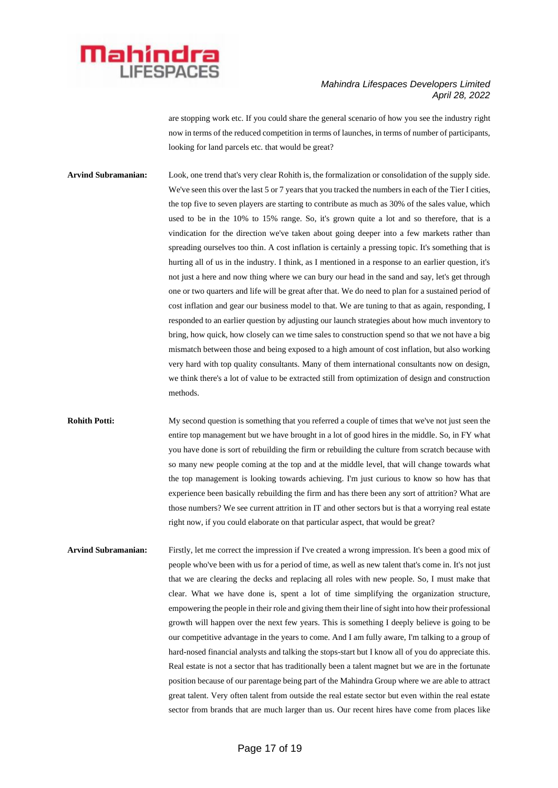

are stopping work etc. If you could share the general scenario of how you see the industry right now in terms of the reduced competition in terms of launches, in terms of number of participants, looking for land parcels etc. that would be great?

**Arvind Subramanian:** Look, one trend that's very clear Rohith is, the formalization or consolidation of the supply side. We've seen this over the last 5 or 7 years that you tracked the numbers in each of the Tier I cities, the top five to seven players are starting to contribute as much as 30% of the sales value, which used to be in the 10% to 15% range. So, it's grown quite a lot and so therefore, that is a vindication for the direction we've taken about going deeper into a few markets rather than spreading ourselves too thin. A cost inflation is certainly a pressing topic. It's something that is hurting all of us in the industry. I think, as I mentioned in a response to an earlier question, it's not just a here and now thing where we can bury our head in the sand and say, let's get through one or two quarters and life will be great after that. We do need to plan for a sustained period of cost inflation and gear our business model to that. We are tuning to that as again, responding, I responded to an earlier question by adjusting our launch strategies about how much inventory to bring, how quick, how closely can we time sales to construction spend so that we not have a big mismatch between those and being exposed to a high amount of cost inflation, but also working very hard with top quality consultants. Many of them international consultants now on design, we think there's a lot of value to be extracted still from optimization of design and construction methods.

**Rohith Potti:** My second question is something that you referred a couple of times that we've not just seen the entire top management but we have brought in a lot of good hires in the middle. So, in FY what you have done is sort of rebuilding the firm or rebuilding the culture from scratch because with so many new people coming at the top and at the middle level, that will change towards what the top management is looking towards achieving. I'm just curious to know so how has that experience been basically rebuilding the firm and has there been any sort of attrition? What are those numbers? We see current attrition in IT and other sectors but is that a worrying real estate right now, if you could elaborate on that particular aspect, that would be great?

**Arvind Subramanian:** Firstly, let me correct the impression if I've created a wrong impression. It's been a good mix of people who've been with us for a period of time, as well as new talent that's come in. It's not just that we are clearing the decks and replacing all roles with new people. So, I must make that clear. What we have done is, spent a lot of time simplifying the organization structure, empowering the people in their role and giving them their line of sight into how their professional growth will happen over the next few years. This is something I deeply believe is going to be our competitive advantage in the years to come. And I am fully aware, I'm talking to a group of hard-nosed financial analysts and talking the stops-start but I know all of you do appreciate this. Real estate is not a sector that has traditionally been a talent magnet but we are in the fortunate position because of our parentage being part of the Mahindra Group where we are able to attract great talent. Very often talent from outside the real estate sector but even within the real estate sector from brands that are much larger than us. Our recent hires have come from places like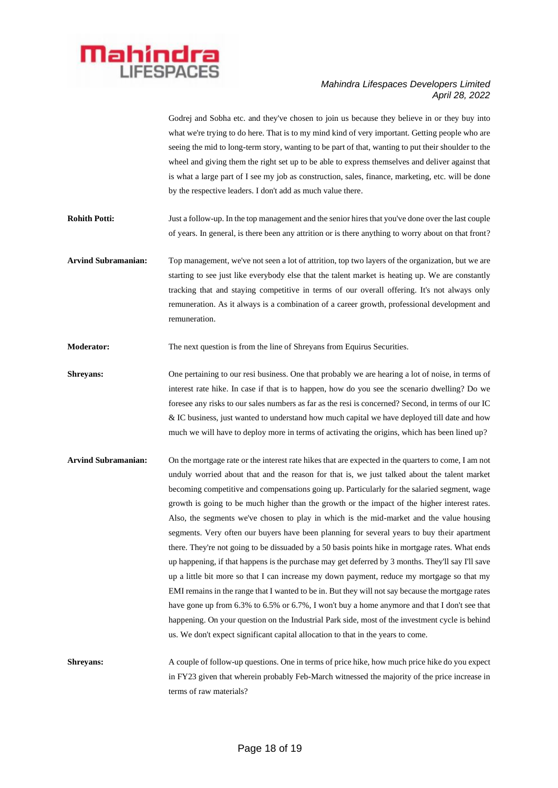

Godrej and Sobha etc. and they've chosen to join us because they believe in or they buy into what we're trying to do here. That is to my mind kind of very important. Getting people who are seeing the mid to long-term story, wanting to be part of that, wanting to put their shoulder to the wheel and giving them the right set up to be able to express themselves and deliver against that is what a large part of I see my job as construction, sales, finance, marketing, etc. will be done by the respective leaders. I don't add as much value there.

**Rohith Potti:** Just a follow-up. In the top management and the senior hires that you've done over the last couple of years. In general, is there been any attrition or is there anything to worry about on that front?

**Arvind Subramanian:** Top management, we've not seen a lot of attrition, top two layers of the organization, but we are starting to see just like everybody else that the talent market is heating up. We are constantly tracking that and staying competitive in terms of our overall offering. It's not always only remuneration. As it always is a combination of a career growth, professional development and remuneration.

**Moderator:** The next question is from the line of Shreyans from Equirus Securities.

**Shreyans:** One pertaining to our resi business. One that probably we are hearing a lot of noise, in terms of interest rate hike. In case if that is to happen, how do you see the scenario dwelling? Do we foresee any risks to our sales numbers as far as the resi is concerned? Second, in terms of our IC & IC business, just wanted to understand how much capital we have deployed till date and how much we will have to deploy more in terms of activating the origins, which has been lined up?

**Arvind Subramanian:** On the mortgage rate or the interest rate hikes that are expected in the quarters to come, I am not unduly worried about that and the reason for that is, we just talked about the talent market becoming competitive and compensations going up. Particularly for the salaried segment, wage growth is going to be much higher than the growth or the impact of the higher interest rates. Also, the segments we've chosen to play in which is the mid-market and the value housing segments. Very often our buyers have been planning for several years to buy their apartment there. They're not going to be dissuaded by a 50 basis points hike in mortgage rates. What ends up happening, if that happens is the purchase may get deferred by 3 months. They'll say I'll save up a little bit more so that I can increase my down payment, reduce my mortgage so that my EMI remains in the range that I wanted to be in. But they will not say because the mortgage rates have gone up from 6.3% to 6.5% or 6.7%, I won't buy a home anymore and that I don't see that happening. On your question on the Industrial Park side, most of the investment cycle is behind us. We don't expect significant capital allocation to that in the years to come.

**Shreyans:** A couple of follow-up questions. One in terms of price hike, how much price hike do you expect in FY23 given that wherein probably Feb-March witnessed the majority of the price increase in terms of raw materials?